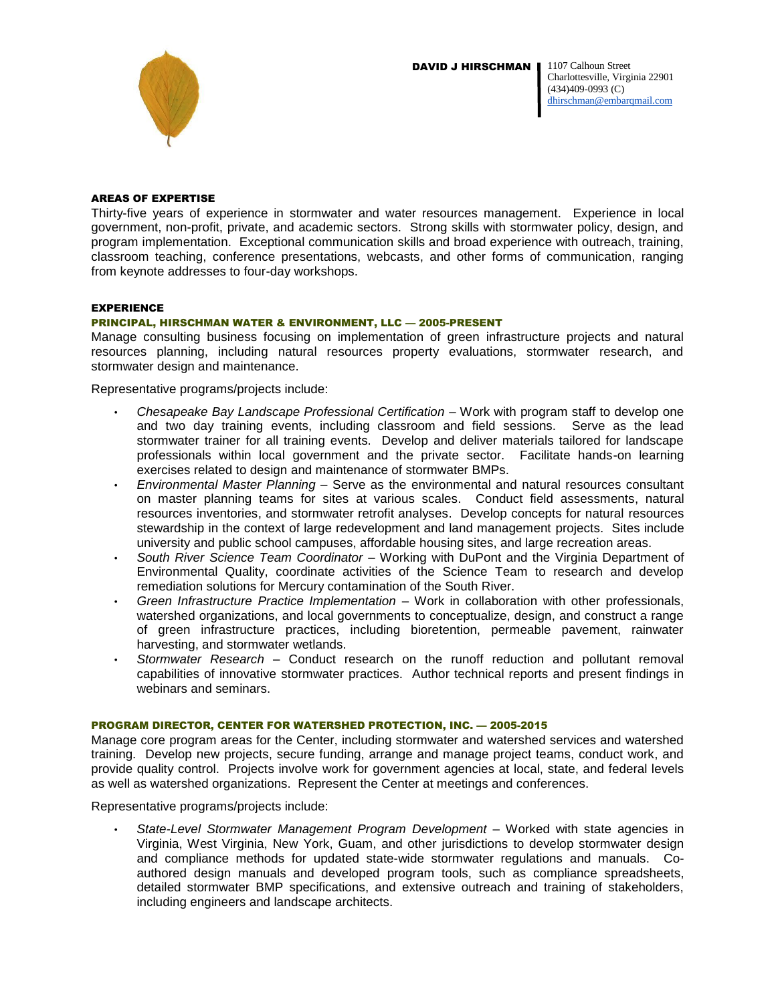DAVID J HIRSCHMAN I



#### 1107 Calhoun Street Charlottesville, Virginia 22901 (434)409-0993 (C) [dhirschman@embarqmail.com](mailto:dhirschman@embarqmail.com)

### AREAS OF EXPERTISE

Thirty-five years of experience in stormwater and water resources management. Experience in local government, non-profit, private, and academic sectors. Strong skills with stormwater policy, design, and program implementation. Exceptional communication skills and broad experience with outreach, training, classroom teaching, conference presentations, webcasts, and other forms of communication, ranging from keynote addresses to four-day workshops.

## EXPERIENCE

# PRINCIPAL, HIRSCHMAN WATER & ENVIRONMENT, LLC — 2005-PRESENT

Manage consulting business focusing on implementation of green infrastructure projects and natural resources planning, including natural resources property evaluations, stormwater research, and stormwater design and maintenance.

Representative programs/projects include:

- *Chesapeake Bay Landscape Professional Certification* Work with program staff to develop one and two day training events, including classroom and field sessions. Serve as the lead stormwater trainer for all training events. Develop and deliver materials tailored for landscape professionals within local government and the private sector. Facilitate hands-on learning exercises related to design and maintenance of stormwater BMPs.
- *Environmental Master Planning*  Serve as the environmental and natural resources consultant on master planning teams for sites at various scales. Conduct field assessments, natural resources inventories, and stormwater retrofit analyses. Develop concepts for natural resources stewardship in the context of large redevelopment and land management projects. Sites include university and public school campuses, affordable housing sites, and large recreation areas.
- *South River Science Team Coordinator –* Working with DuPont and the Virginia Department of Environmental Quality, coordinate activities of the Science Team to research and develop remediation solutions for Mercury contamination of the South River.
- *Green Infrastructure Practice Implementation –* Work in collaboration with other professionals, watershed organizations, and local governments to conceptualize, design, and construct a range of green infrastructure practices, including bioretention, permeable pavement, rainwater harvesting, and stormwater wetlands.
- *Stormwater Research –* Conduct research on the runoff reduction and pollutant removal capabilities of innovative stormwater practices. Author technical reports and present findings in webinars and seminars.

## PROGRAM DIRECTOR, CENTER FOR WATERSHED PROTECTION, INC. — 2005-2015

Manage core program areas for the Center, including stormwater and watershed services and watershed training. Develop new projects, secure funding, arrange and manage project teams, conduct work, and provide quality control. Projects involve work for government agencies at local, state, and federal levels as well as watershed organizations. Represent the Center at meetings and conferences.

Representative programs/projects include:

• *State-Level Stormwater Management Program Development* – Worked with state agencies in Virginia, West Virginia, New York, Guam, and other jurisdictions to develop stormwater design and compliance methods for updated state-wide stormwater regulations and manuals. Coauthored design manuals and developed program tools, such as compliance spreadsheets, detailed stormwater BMP specifications, and extensive outreach and training of stakeholders, including engineers and landscape architects.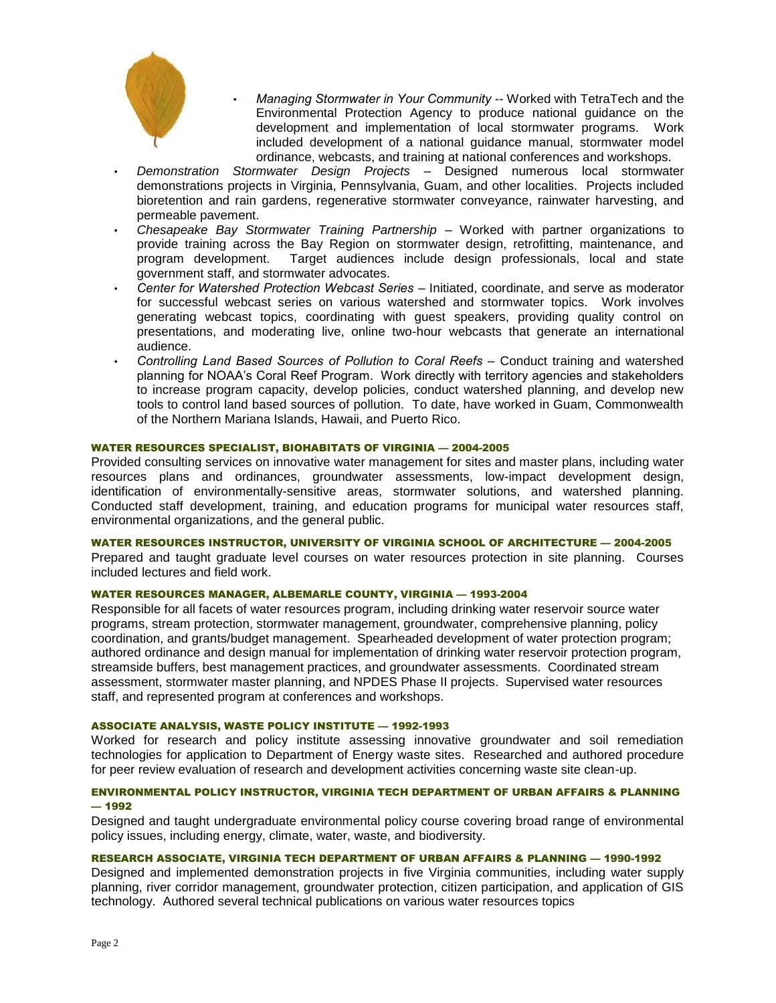

- *Managing Stormwater in Your Community* -- Worked with TetraTech and the Environmental Protection Agency to produce national guidance on the development and implementation of local stormwater programs. Work included development of a national guidance manual, stormwater model ordinance, webcasts, and training at national conferences and workshops.
- *Demonstration Stormwater Design Projects*  Designed numerous local stormwater demonstrations projects in Virginia, Pennsylvania, Guam, and other localities. Projects included bioretention and rain gardens, regenerative stormwater conveyance, rainwater harvesting, and permeable pavement.
- *Chesapeake Bay Stormwater Training Partnership*  Worked with partner organizations to provide training across the Bay Region on stormwater design, retrofitting, maintenance, and program development. Target audiences include design professionals, local and state government staff, and stormwater advocates.
- *Center for Watershed Protection Webcast Series*  Initiated, coordinate, and serve as moderator for successful webcast series on various watershed and stormwater topics. Work involves generating webcast topics, coordinating with guest speakers, providing quality control on presentations, and moderating live, online two-hour webcasts that generate an international audience.
- *Controlling Land Based Sources of Pollution to Coral Reefs*  Conduct training and watershed planning for NOAA's Coral Reef Program. Work directly with territory agencies and stakeholders to increase program capacity, develop policies, conduct watershed planning, and develop new tools to control land based sources of pollution. To date, have worked in Guam, Commonwealth of the Northern Mariana Islands, Hawaii, and Puerto Rico.

# WATER RESOURCES SPECIALIST, BIOHABITATS OF VIRGINIA — 2004-2005

Provided consulting services on innovative water management for sites and master plans, including water resources plans and ordinances, groundwater assessments, low-impact development design, identification of environmentally-sensitive areas, stormwater solutions, and watershed planning. Conducted staff development, training, and education programs for municipal water resources staff, environmental organizations, and the general public.

#### WATER RESOURCES INSTRUCTOR, UNIVERSITY OF VIRGINIA SCHOOL OF ARCHITECTURE — 2004-2005

Prepared and taught graduate level courses on water resources protection in site planning. Courses included lectures and field work.

#### WATER RESOURCES MANAGER, ALBEMARLE COUNTY, VIRGINIA — 1993-2004

Responsible for all facets of water resources program, including drinking water reservoir source water programs, stream protection, stormwater management, groundwater, comprehensive planning, policy coordination, and grants/budget management. Spearheaded development of water protection program; authored ordinance and design manual for implementation of drinking water reservoir protection program, streamside buffers, best management practices, and groundwater assessments. Coordinated stream assessment, stormwater master planning, and NPDES Phase II projects. Supervised water resources staff, and represented program at conferences and workshops.

## ASSOCIATE ANALYSIS, WASTE POLICY INSTITUTE — 1992-1993

Worked for research and policy institute assessing innovative groundwater and soil remediation technologies for application to Department of Energy waste sites. Researched and authored procedure for peer review evaluation of research and development activities concerning waste site clean-up.

# ENVIRONMENTAL POLICY INSTRUCTOR, VIRGINIA TECH DEPARTMENT OF URBAN AFFAIRS & PLANNING — 1992

Designed and taught undergraduate environmental policy course covering broad range of environmental policy issues, including energy, climate, water, waste, and biodiversity.

# RESEARCH ASSOCIATE, VIRGINIA TECH DEPARTMENT OF URBAN AFFAIRS & PLANNING — 1990-1992

Designed and implemented demonstration projects in five Virginia communities, including water supply planning, river corridor management, groundwater protection, citizen participation, and application of GIS technology. Authored several technical publications on various water resources topics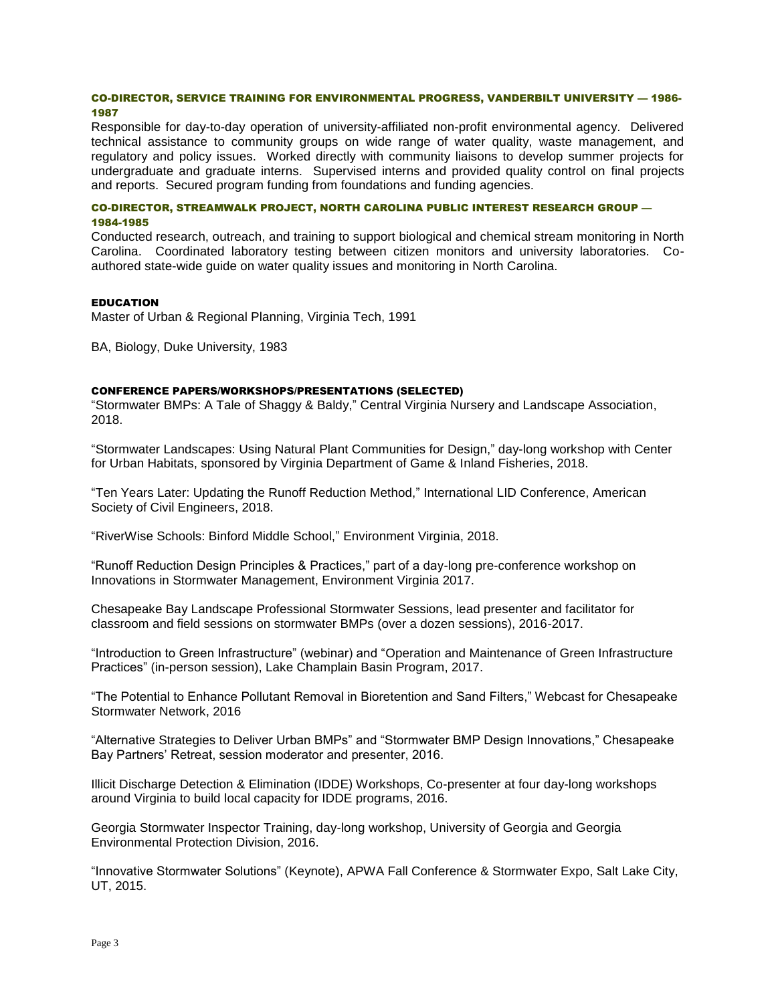## CO-DIRECTOR, SERVICE TRAINING FOR ENVIRONMENTAL PROGRESS, VANDERBILT UNIVERSITY — 1986- 1987

Responsible for day-to-day operation of university-affiliated non-profit environmental agency. Delivered technical assistance to community groups on wide range of water quality, waste management, and regulatory and policy issues. Worked directly with community liaisons to develop summer projects for undergraduate and graduate interns. Supervised interns and provided quality control on final projects and reports. Secured program funding from foundations and funding agencies.

# CO-DIRECTOR, STREAMWALK PROJECT, NORTH CAROLINA PUBLIC INTEREST RESEARCH GROUP — 1984-1985

Conducted research, outreach, and training to support biological and chemical stream monitoring in North Carolina. Coordinated laboratory testing between citizen monitors and university laboratories. Coauthored state-wide guide on water quality issues and monitoring in North Carolina.

## EDUCATION

Master of Urban & Regional Planning, Virginia Tech, 1991

BA, Biology, Duke University, 1983

## CONFERENCE PAPERS/WORKSHOPS/PRESENTATIONS (SELECTED)

"Stormwater BMPs: A Tale of Shaggy & Baldy," Central Virginia Nursery and Landscape Association, 2018.

"Stormwater Landscapes: Using Natural Plant Communities for Design," day-long workshop with Center for Urban Habitats, sponsored by Virginia Department of Game & Inland Fisheries, 2018.

"Ten Years Later: Updating the Runoff Reduction Method," International LID Conference, American Society of Civil Engineers, 2018.

"RiverWise Schools: Binford Middle School," Environment Virginia, 2018.

"Runoff Reduction Design Principles & Practices," part of a day-long pre-conference workshop on Innovations in Stormwater Management, Environment Virginia 2017.

Chesapeake Bay Landscape Professional Stormwater Sessions, lead presenter and facilitator for classroom and field sessions on stormwater BMPs (over a dozen sessions), 2016-2017.

"Introduction to Green Infrastructure" (webinar) and "Operation and Maintenance of Green Infrastructure Practices" (in-person session), Lake Champlain Basin Program, 2017.

"The Potential to Enhance Pollutant Removal in Bioretention and Sand Filters," Webcast for Chesapeake Stormwater Network, 2016

"Alternative Strategies to Deliver Urban BMPs" and "Stormwater BMP Design Innovations," Chesapeake Bay Partners' Retreat, session moderator and presenter, 2016.

Illicit Discharge Detection & Elimination (IDDE) Workshops, Co-presenter at four day-long workshops around Virginia to build local capacity for IDDE programs, 2016.

Georgia Stormwater Inspector Training, day-long workshop, University of Georgia and Georgia Environmental Protection Division, 2016.

"Innovative Stormwater Solutions" (Keynote), APWA Fall Conference & Stormwater Expo, Salt Lake City, UT, 2015.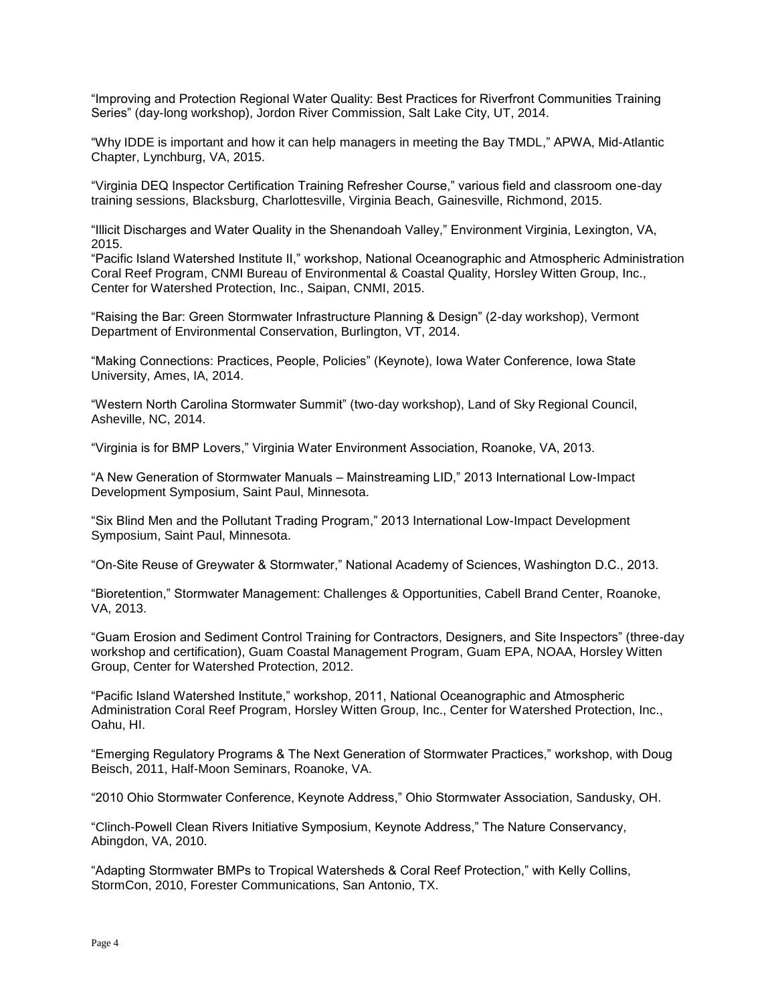"Improving and Protection Regional Water Quality: Best Practices for Riverfront Communities Training Series" (day-long workshop), Jordon River Commission, Salt Lake City, UT, 2014.

"Why IDDE is important and how it can help managers in meeting the Bay TMDL," APWA, Mid-Atlantic Chapter, Lynchburg, VA, 2015.

"Virginia DEQ Inspector Certification Training Refresher Course," various field and classroom one-day training sessions, Blacksburg, Charlottesville, Virginia Beach, Gainesville, Richmond, 2015.

"Illicit Discharges and Water Quality in the Shenandoah Valley," Environment Virginia, Lexington, VA, 2015.

"Pacific Island Watershed Institute II," workshop, National Oceanographic and Atmospheric Administration Coral Reef Program, CNMI Bureau of Environmental & Coastal Quality, Horsley Witten Group, Inc., Center for Watershed Protection, Inc., Saipan, CNMI, 2015.

"Raising the Bar: Green Stormwater Infrastructure Planning & Design" (2-day workshop), Vermont Department of Environmental Conservation, Burlington, VT, 2014.

"Making Connections: Practices, People, Policies" (Keynote), Iowa Water Conference, Iowa State University, Ames, IA, 2014.

"Western North Carolina Stormwater Summit" (two-day workshop), Land of Sky Regional Council, Asheville, NC, 2014.

"Virginia is for BMP Lovers," Virginia Water Environment Association, Roanoke, VA, 2013.

"A New Generation of Stormwater Manuals – Mainstreaming LID," 2013 International Low-Impact Development Symposium, Saint Paul, Minnesota.

"Six Blind Men and the Pollutant Trading Program," 2013 International Low-Impact Development Symposium, Saint Paul, Minnesota.

"On-Site Reuse of Greywater & Stormwater," National Academy of Sciences, Washington D.C., 2013.

"Bioretention," Stormwater Management: Challenges & Opportunities, Cabell Brand Center, Roanoke, VA, 2013.

"Guam Erosion and Sediment Control Training for Contractors, Designers, and Site Inspectors" (three-day workshop and certification), Guam Coastal Management Program, Guam EPA, NOAA, Horsley Witten Group, Center for Watershed Protection, 2012.

"Pacific Island Watershed Institute," workshop, 2011, National Oceanographic and Atmospheric Administration Coral Reef Program, Horsley Witten Group, Inc., Center for Watershed Protection, Inc., Oahu, HI.

"Emerging Regulatory Programs & The Next Generation of Stormwater Practices," workshop, with Doug Beisch, 2011, Half-Moon Seminars, Roanoke, VA.

"2010 Ohio Stormwater Conference, Keynote Address," Ohio Stormwater Association, Sandusky, OH.

"Clinch-Powell Clean Rivers Initiative Symposium, Keynote Address," The Nature Conservancy, Abingdon, VA, 2010.

"Adapting Stormwater BMPs to Tropical Watersheds & Coral Reef Protection," with Kelly Collins, StormCon, 2010, Forester Communications, San Antonio, TX.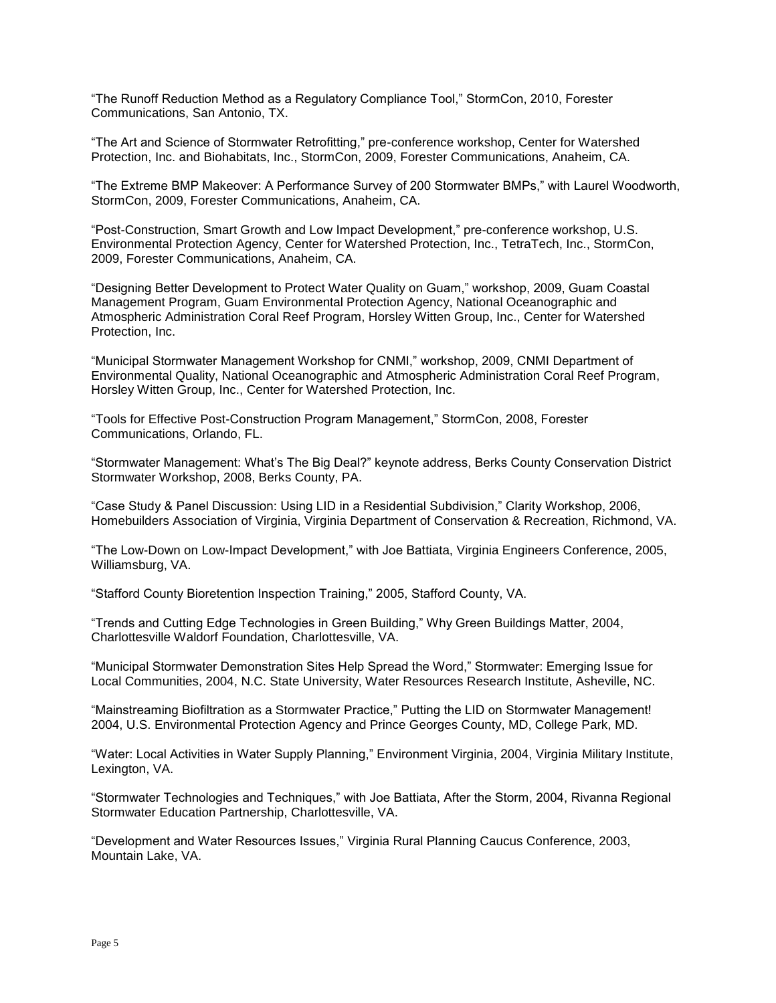"The Runoff Reduction Method as a Regulatory Compliance Tool," StormCon, 2010, Forester Communications, San Antonio, TX.

"The Art and Science of Stormwater Retrofitting," pre-conference workshop, Center for Watershed Protection, Inc. and Biohabitats, Inc., StormCon, 2009, Forester Communications, Anaheim, CA.

"The Extreme BMP Makeover: A Performance Survey of 200 Stormwater BMPs," with Laurel Woodworth, StormCon, 2009, Forester Communications, Anaheim, CA.

"Post-Construction, Smart Growth and Low Impact Development," pre-conference workshop, U.S. Environmental Protection Agency, Center for Watershed Protection, Inc., TetraTech, Inc., StormCon, 2009, Forester Communications, Anaheim, CA.

"Designing Better Development to Protect Water Quality on Guam," workshop, 2009, Guam Coastal Management Program, Guam Environmental Protection Agency, National Oceanographic and Atmospheric Administration Coral Reef Program, Horsley Witten Group, Inc., Center for Watershed Protection, Inc.

"Municipal Stormwater Management Workshop for CNMI," workshop, 2009, CNMI Department of Environmental Quality, National Oceanographic and Atmospheric Administration Coral Reef Program, Horsley Witten Group, Inc., Center for Watershed Protection, Inc.

"Tools for Effective Post-Construction Program Management," StormCon, 2008, Forester Communications, Orlando, FL.

"Stormwater Management: What's The Big Deal?" keynote address, Berks County Conservation District Stormwater Workshop, 2008, Berks County, PA.

"Case Study & Panel Discussion: Using LID in a Residential Subdivision," Clarity Workshop, 2006, Homebuilders Association of Virginia, Virginia Department of Conservation & Recreation, Richmond, VA.

"The Low-Down on Low-Impact Development," with Joe Battiata, Virginia Engineers Conference, 2005, Williamsburg, VA.

"Stafford County Bioretention Inspection Training," 2005, Stafford County, VA.

"Trends and Cutting Edge Technologies in Green Building," Why Green Buildings Matter, 2004, Charlottesville Waldorf Foundation, Charlottesville, VA.

"Municipal Stormwater Demonstration Sites Help Spread the Word," Stormwater: Emerging Issue for Local Communities, 2004, N.C. State University, Water Resources Research Institute, Asheville, NC.

"Mainstreaming Biofiltration as a Stormwater Practice," Putting the LID on Stormwater Management! 2004, U.S. Environmental Protection Agency and Prince Georges County, MD, College Park, MD.

"Water: Local Activities in Water Supply Planning," Environment Virginia, 2004, Virginia Military Institute, Lexington, VA.

"Stormwater Technologies and Techniques," with Joe Battiata, After the Storm, 2004, Rivanna Regional Stormwater Education Partnership, Charlottesville, VA.

"Development and Water Resources Issues," Virginia Rural Planning Caucus Conference, 2003, Mountain Lake, VA.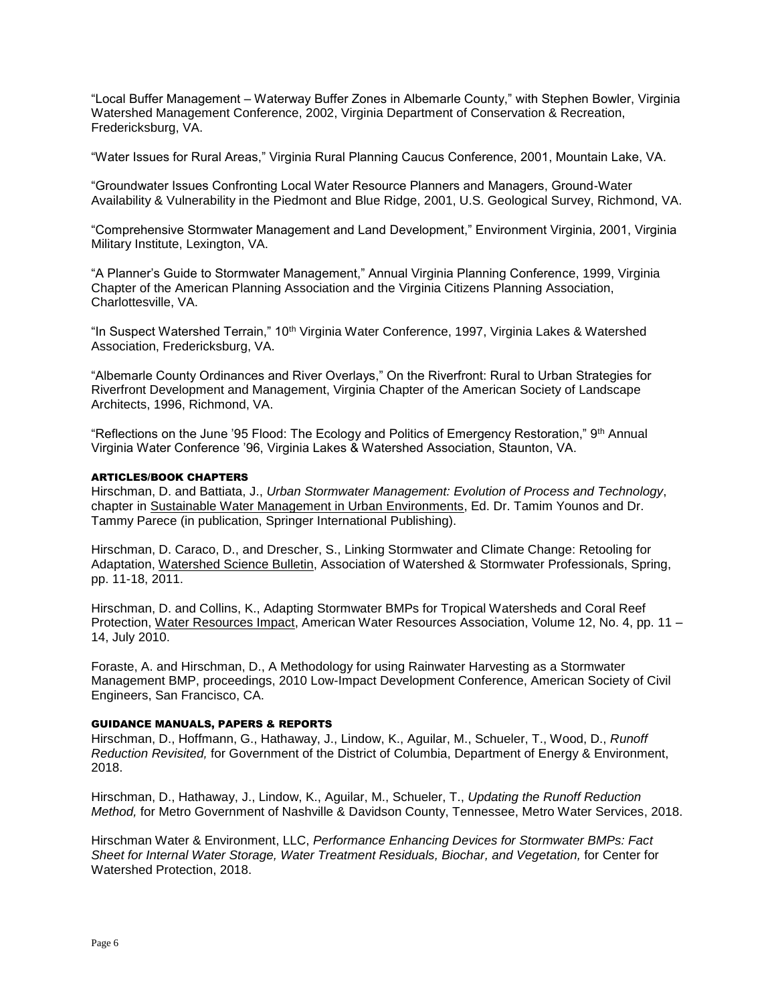"Local Buffer Management – Waterway Buffer Zones in Albemarle County," with Stephen Bowler, Virginia Watershed Management Conference, 2002, Virginia Department of Conservation & Recreation, Fredericksburg, VA.

"Water Issues for Rural Areas," Virginia Rural Planning Caucus Conference, 2001, Mountain Lake, VA.

"Groundwater Issues Confronting Local Water Resource Planners and Managers, Ground-Water Availability & Vulnerability in the Piedmont and Blue Ridge, 2001, U.S. Geological Survey, Richmond, VA.

"Comprehensive Stormwater Management and Land Development," Environment Virginia, 2001, Virginia Military Institute, Lexington, VA.

"A Planner's Guide to Stormwater Management," Annual Virginia Planning Conference, 1999, Virginia Chapter of the American Planning Association and the Virginia Citizens Planning Association, Charlottesville, VA.

"In Suspect Watershed Terrain," 10<sup>th</sup> Virginia Water Conference, 1997, Virginia Lakes & Watershed Association, Fredericksburg, VA.

"Albemarle County Ordinances and River Overlays," On the Riverfront: Rural to Urban Strategies for Riverfront Development and Management, Virginia Chapter of the American Society of Landscape Architects, 1996, Richmond, VA.

"Reflections on the June '95 Flood: The Ecology and Politics of Emergency Restoration," 9th Annual Virginia Water Conference '96, Virginia Lakes & Watershed Association, Staunton, VA.

### ARTICLES/BOOK CHAPTERS

Hirschman, D. and Battiata, J., *Urban Stormwater Management: Evolution of Process and Technology*, chapter in Sustainable Water Management in Urban Environments, Ed. Dr. Tamim Younos and Dr. Tammy Parece (in publication, Springer International Publishing).

Hirschman, D. Caraco, D., and Drescher, S., Linking Stormwater and Climate Change: Retooling for Adaptation, Watershed Science Bulletin, Association of Watershed & Stormwater Professionals, Spring, pp. 11-18, 2011.

Hirschman, D. and Collins, K., Adapting Stormwater BMPs for Tropical Watersheds and Coral Reef Protection, Water Resources Impact, American Water Resources Association, Volume 12, No. 4, pp. 11 – 14, July 2010.

Foraste, A. and Hirschman, D., A Methodology for using Rainwater Harvesting as a Stormwater Management BMP, proceedings, 2010 Low-Impact Development Conference, American Society of Civil Engineers, San Francisco, CA.

#### GUIDANCE MANUALS, PAPERS & REPORTS

Hirschman, D., Hoffmann, G., Hathaway, J., Lindow, K., Aguilar, M., Schueler, T., Wood, D., *Runoff Reduction Revisited,* for Government of the District of Columbia, Department of Energy & Environment, 2018.

Hirschman, D., Hathaway, J., Lindow, K., Aguilar, M., Schueler, T., *Updating the Runoff Reduction Method,* for Metro Government of Nashville & Davidson County, Tennessee, Metro Water Services, 2018.

Hirschman Water & Environment, LLC, *Performance Enhancing Devices for Stormwater BMPs: Fact Sheet for Internal Water Storage, Water Treatment Residuals, Biochar, and Vegetation,* for Center for Watershed Protection, 2018.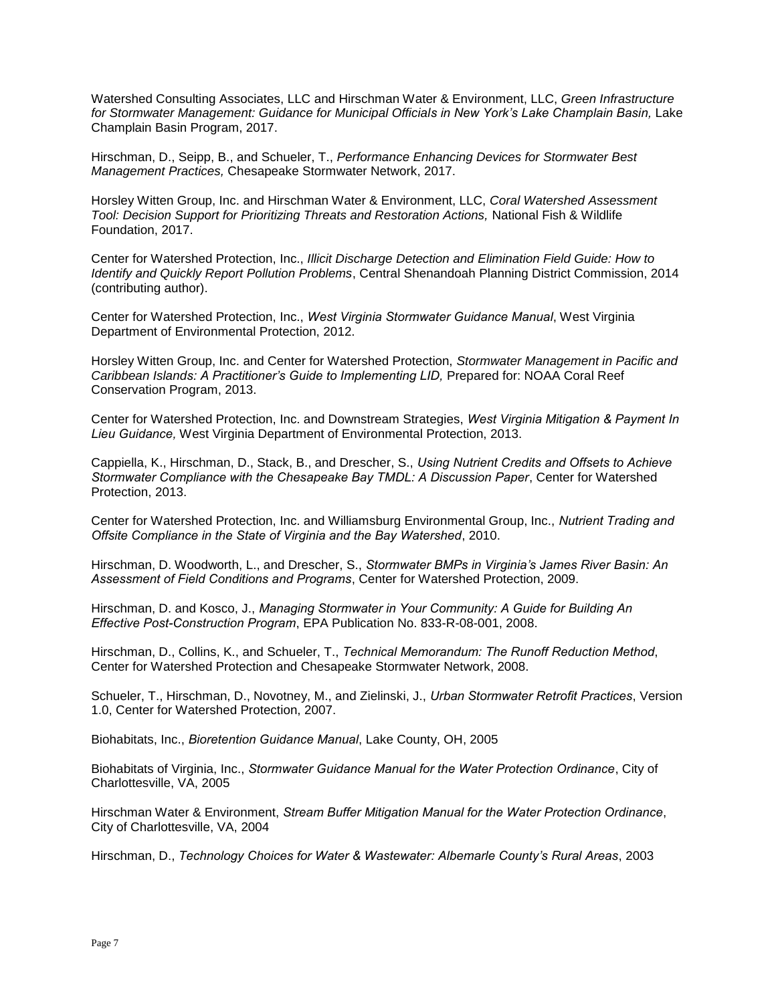Watershed Consulting Associates, LLC and Hirschman Water & Environment, LLC, *Green Infrastructure*  for Stormwater Management: Guidance for Municipal Officials in New York's Lake Champlain Basin, Lake Champlain Basin Program, 2017.

Hirschman, D., Seipp, B., and Schueler, T., *Performance Enhancing Devices for Stormwater Best Management Practices,* Chesapeake Stormwater Network, 2017.

Horsley Witten Group, Inc. and Hirschman Water & Environment, LLC, *Coral Watershed Assessment Tool: Decision Support for Prioritizing Threats and Restoration Actions,* National Fish & Wildlife Foundation, 2017.

Center for Watershed Protection, Inc., *Illicit Discharge Detection and Elimination Field Guide: How to Identify and Quickly Report Pollution Problems*, Central Shenandoah Planning District Commission, 2014 (contributing author).

Center for Watershed Protection, Inc., *West Virginia Stormwater Guidance Manual*, West Virginia Department of Environmental Protection, 2012.

Horsley Witten Group, Inc. and Center for Watershed Protection, *Stormwater Management in Pacific and Caribbean Islands: A Practitioner's Guide to Implementing LID,* Prepared for: NOAA Coral Reef Conservation Program, 2013.

Center for Watershed Protection, Inc. and Downstream Strategies, *West Virginia Mitigation & Payment In Lieu Guidance,* West Virginia Department of Environmental Protection, 2013.

Cappiella, K., Hirschman, D., Stack, B., and Drescher, S., *Using Nutrient Credits and Offsets to Achieve Stormwater Compliance with the Chesapeake Bay TMDL: A Discussion Paper*, Center for Watershed Protection, 2013.

Center for Watershed Protection, Inc. and Williamsburg Environmental Group, Inc., *Nutrient Trading and Offsite Compliance in the State of Virginia and the Bay Watershed*, 2010.

Hirschman, D. Woodworth, L., and Drescher, S., *Stormwater BMPs in Virginia's James River Basin: An Assessment of Field Conditions and Programs*, Center for Watershed Protection, 2009.

Hirschman, D. and Kosco, J., *Managing Stormwater in Your Community: A Guide for Building An Effective Post-Construction Program*, EPA Publication No. 833-R-08-001, 2008.

Hirschman, D., Collins, K., and Schueler, T., *Technical Memorandum: The Runoff Reduction Method*, Center for Watershed Protection and Chesapeake Stormwater Network, 2008.

Schueler, T., Hirschman, D., Novotney, M., and Zielinski, J., *Urban Stormwater Retrofit Practices*, Version 1.0, Center for Watershed Protection, 2007.

Biohabitats, Inc., *Bioretention Guidance Manual*, Lake County, OH, 2005

Biohabitats of Virginia, Inc., *Stormwater Guidance Manual for the Water Protection Ordinance*, City of Charlottesville, VA, 2005

Hirschman Water & Environment, *Stream Buffer Mitigation Manual for the Water Protection Ordinance*, City of Charlottesville, VA, 2004

Hirschman, D., *Technology Choices for Water & Wastewater: Albemarle County's Rural Areas*, 2003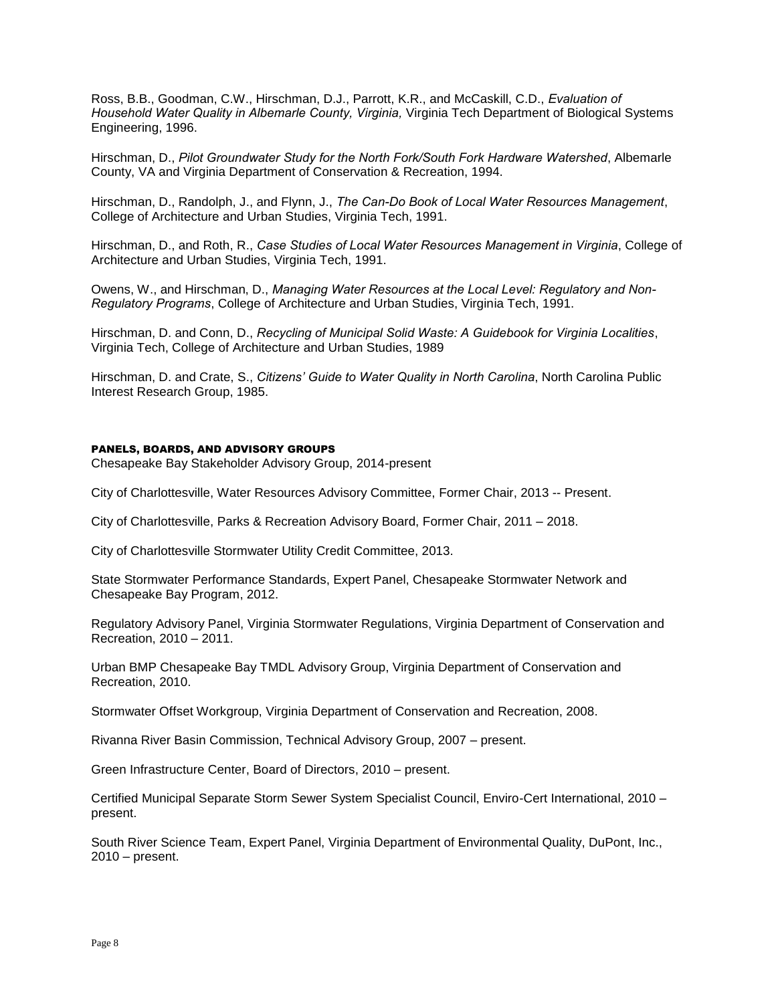Ross, B.B., Goodman, C.W., Hirschman, D.J., Parrott, K.R., and McCaskill, C.D., *Evaluation of Household Water Quality in Albemarle County, Virginia,* Virginia Tech Department of Biological Systems Engineering, 1996.

Hirschman, D., *Pilot Groundwater Study for the North Fork/South Fork Hardware Watershed*, Albemarle County, VA and Virginia Department of Conservation & Recreation, 1994.

Hirschman, D., Randolph, J., and Flynn, J., *The Can-Do Book of Local Water Resources Management*, College of Architecture and Urban Studies, Virginia Tech, 1991.

Hirschman, D., and Roth, R., *Case Studies of Local Water Resources Management in Virginia*, College of Architecture and Urban Studies, Virginia Tech, 1991.

Owens, W., and Hirschman, D., *Managing Water Resources at the Local Level: Regulatory and Non-Regulatory Programs*, College of Architecture and Urban Studies, Virginia Tech, 1991.

Hirschman, D. and Conn, D., *Recycling of Municipal Solid Waste: A Guidebook for Virginia Localities*, Virginia Tech, College of Architecture and Urban Studies, 1989

Hirschman, D. and Crate, S., *Citizens' Guide to Water Quality in North Carolina*, North Carolina Public Interest Research Group, 1985.

## PANELS, BOARDS, AND ADVISORY GROUPS

Chesapeake Bay Stakeholder Advisory Group, 2014-present

City of Charlottesville, Water Resources Advisory Committee, Former Chair, 2013 -- Present.

City of Charlottesville, Parks & Recreation Advisory Board, Former Chair, 2011 – 2018.

City of Charlottesville Stormwater Utility Credit Committee, 2013.

State Stormwater Performance Standards, Expert Panel, Chesapeake Stormwater Network and Chesapeake Bay Program, 2012.

Regulatory Advisory Panel, Virginia Stormwater Regulations, Virginia Department of Conservation and Recreation, 2010 – 2011.

Urban BMP Chesapeake Bay TMDL Advisory Group, Virginia Department of Conservation and Recreation, 2010.

Stormwater Offset Workgroup, Virginia Department of Conservation and Recreation, 2008.

Rivanna River Basin Commission, Technical Advisory Group, 2007 – present.

Green Infrastructure Center, Board of Directors, 2010 – present.

Certified Municipal Separate Storm Sewer System Specialist Council, Enviro-Cert International, 2010 – present.

South River Science Team, Expert Panel, Virginia Department of Environmental Quality, DuPont, Inc., 2010 – present.